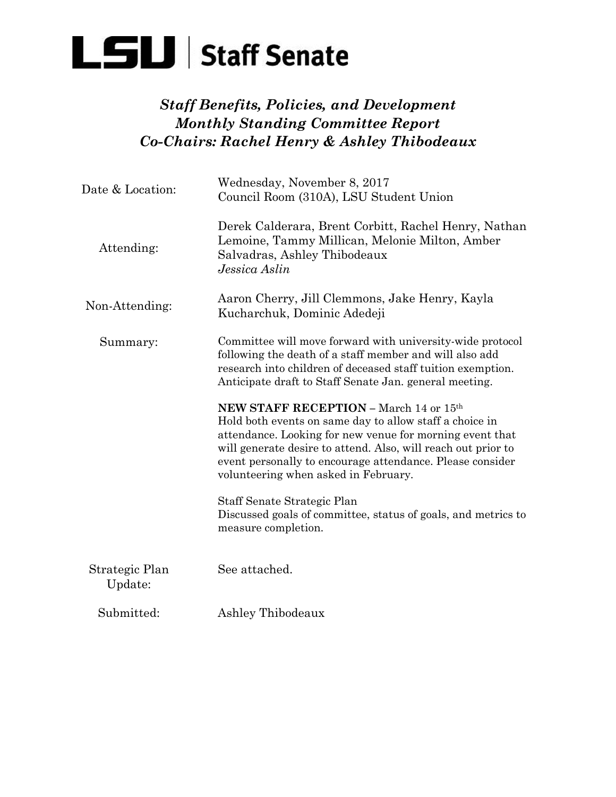

## *Staff Benefits, Policies, and Development Monthly Standing Committee Report Co-Chairs: Rachel Henry & Ashley Thibodeaux*

| Date & Location:          | Wednesday, November 8, 2017<br>Council Room (310A), LSU Student Union                                                                                                                                                                                                                                                               |
|---------------------------|-------------------------------------------------------------------------------------------------------------------------------------------------------------------------------------------------------------------------------------------------------------------------------------------------------------------------------------|
| Attending:                | Derek Calderara, Brent Corbitt, Rachel Henry, Nathan<br>Lemoine, Tammy Millican, Melonie Milton, Amber<br>Salvadras, Ashley Thibodeaux<br>Jessica Aslin                                                                                                                                                                             |
| Non-Attending:            | Aaron Cherry, Jill Clemmons, Jake Henry, Kayla<br>Kucharchuk, Dominic Adedeji                                                                                                                                                                                                                                                       |
| Summary:                  | Committee will move forward with university-wide protocol<br>following the death of a staff member and will also add<br>research into children of deceased staff tuition exemption.<br>Anticipate draft to Staff Senate Jan. general meeting.                                                                                       |
|                           | NEW STAFF RECEPTION - March 14 or 15th<br>Hold both events on same day to allow staff a choice in<br>attendance. Looking for new venue for morning event that<br>will generate desire to attend. Also, will reach out prior to<br>event personally to encourage attendance. Please consider<br>volunteering when asked in February. |
|                           | Staff Senate Strategic Plan<br>Discussed goals of committee, status of goals, and metrics to<br>measure completion.                                                                                                                                                                                                                 |
| Strategic Plan<br>Update: | See attached.                                                                                                                                                                                                                                                                                                                       |
| Submitted:                | Ashley Thibodeaux                                                                                                                                                                                                                                                                                                                   |